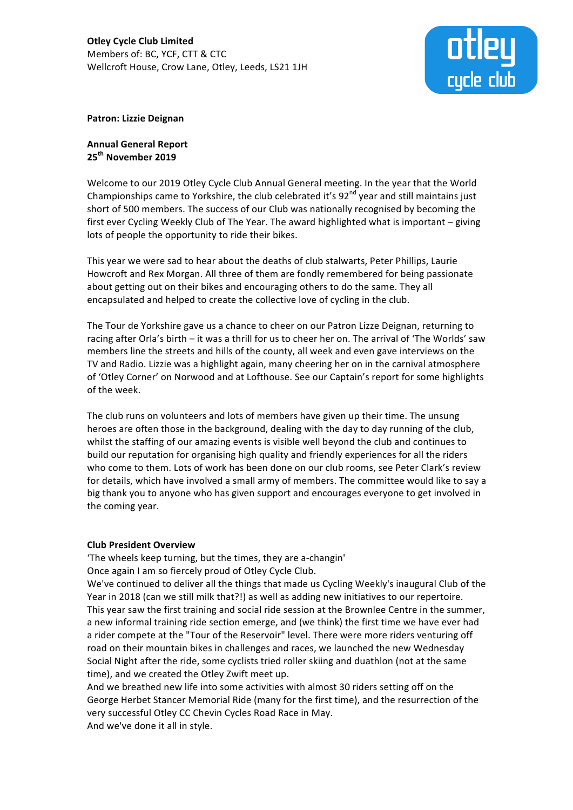

## **Patron: Lizzie Deignan**

**Annual General Report 25th November 2019**

Welcome to our 2019 Otley Cycle Club Annual General meeting. In the year that the World Championships came to Yorkshire, the club celebrated it's  $92<sup>nd</sup>$  year and still maintains just short of 500 members. The success of our Club was nationally recognised by becoming the first ever Cycling Weekly Club of The Year. The award highlighted what is important - giving lots of people the opportunity to ride their bikes.

This year we were sad to hear about the deaths of club stalwarts, Peter Phillips, Laurie Howcroft and Rex Morgan. All three of them are fondly remembered for being passionate about getting out on their bikes and encouraging others to do the same. They all encapsulated and helped to create the collective love of cycling in the club.

The Tour de Yorkshire gave us a chance to cheer on our Patron Lizze Deignan, returning to racing after Orla's birth – it was a thrill for us to cheer her on. The arrival of 'The Worlds' saw members line the streets and hills of the county, all week and even gave interviews on the TV and Radio. Lizzie was a highlight again, many cheering her on in the carnival atmosphere of 'Otley Corner' on Norwood and at Lofthouse. See our Captain's report for some highlights of the week.

The club runs on volunteers and lots of members have given up their time. The unsung heroes are often those in the background, dealing with the day to day running of the club, whilst the staffing of our amazing events is visible well beyond the club and continues to build our reputation for organising high quality and friendly experiences for all the riders who come to them. Lots of work has been done on our club rooms, see Peter Clark's review for details, which have involved a small army of members. The committee would like to say a big thank you to anyone who has given support and encourages everyone to get involved in the coming year.

# **Club President Overview**

'The wheels keep turning, but the times, they are a-changin' Once again I am so fiercely proud of Otley Cycle Club.

We've continued to deliver all the things that made us Cycling Weekly's inaugural Club of the Year in 2018 (can we still milk that?!) as well as adding new initiatives to our repertoire. This year saw the first training and social ride session at the Brownlee Centre in the summer, a new informal training ride section emerge, and (we think) the first time we have ever had a rider compete at the "Tour of the Reservoir" level. There were more riders venturing off road on their mountain bikes in challenges and races, we launched the new Wednesday Social Night after the ride, some cyclists tried roller skiing and duathlon (not at the same time), and we created the Otley Zwift meet up.

And we breathed new life into some activities with almost 30 riders setting off on the George Herbet Stancer Memorial Ride (many for the first time), and the resurrection of the very successful Otley CC Chevin Cycles Road Race in May. And we've done it all in style.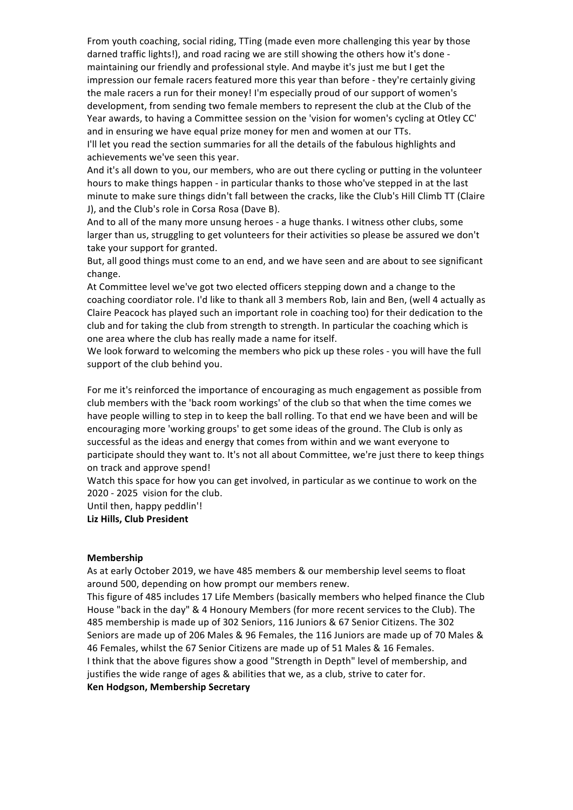From youth coaching, social riding, TTing (made even more challenging this year by those darned traffic lights!), and road racing we are still showing the others how it's done maintaining our friendly and professional style. And maybe it's just me but I get the impression our female racers featured more this year than before - they're certainly giving the male racers a run for their money! I'm especially proud of our support of women's development, from sending two female members to represent the club at the Club of the Year awards, to having a Committee session on the 'vision for women's cycling at Otley CC' and in ensuring we have equal prize money for men and women at our TTs.

I'll let you read the section summaries for all the details of the fabulous highlights and achievements we've seen this year.

And it's all down to you, our members, who are out there cycling or putting in the volunteer hours to make things happen - in particular thanks to those who've stepped in at the last minute to make sure things didn't fall between the cracks, like the Club's Hill Climb TT (Claire J), and the Club's role in Corsa Rosa (Dave B).

And to all of the many more unsung heroes - a huge thanks. I witness other clubs, some larger than us, struggling to get volunteers for their activities so please be assured we don't take your support for granted.

But, all good things must come to an end, and we have seen and are about to see significant change.

At Committee level we've got two elected officers stepping down and a change to the coaching coordiator role. I'd like to thank all 3 members Rob, Iain and Ben, (well 4 actually as Claire Peacock has played such an important role in coaching too) for their dedication to the club and for taking the club from strength to strength. In particular the coaching which is one area where the club has really made a name for itself.

We look forward to welcoming the members who pick up these roles - you will have the full support of the club behind you.

For me it's reinforced the importance of encouraging as much engagement as possible from club members with the 'back room workings' of the club so that when the time comes we have people willing to step in to keep the ball rolling. To that end we have been and will be encouraging more 'working groups' to get some ideas of the ground. The Club is only as successful as the ideas and energy that comes from within and we want everyone to participate should they want to. It's not all about Committee, we're just there to keep things on track and approve spend!

Watch this space for how you can get involved, in particular as we continue to work on the 2020 - 2025 vision for the club.

Until then, happy peddlin'!

**Liz Hills, Club President**

#### **Membership**

As at early October 2019, we have 485 members & our membership level seems to float around 500, depending on how prompt our members renew.

This figure of 485 includes 17 Life Members (basically members who helped finance the Club House "back in the day" & 4 Honoury Members (for more recent services to the Club). The 485 membership is made up of 302 Seniors, 116 Juniors & 67 Senior Citizens. The 302 Seniors are made up of 206 Males & 96 Females, the 116 Juniors are made up of 70 Males & 46 Females, whilst the 67 Senior Citizens are made up of 51 Males & 16 Females. I think that the above figures show a good "Strength in Depth" level of membership, and justifies the wide range of ages & abilities that we, as a club, strive to cater for. **Ken Hodgson, Membership Secretary**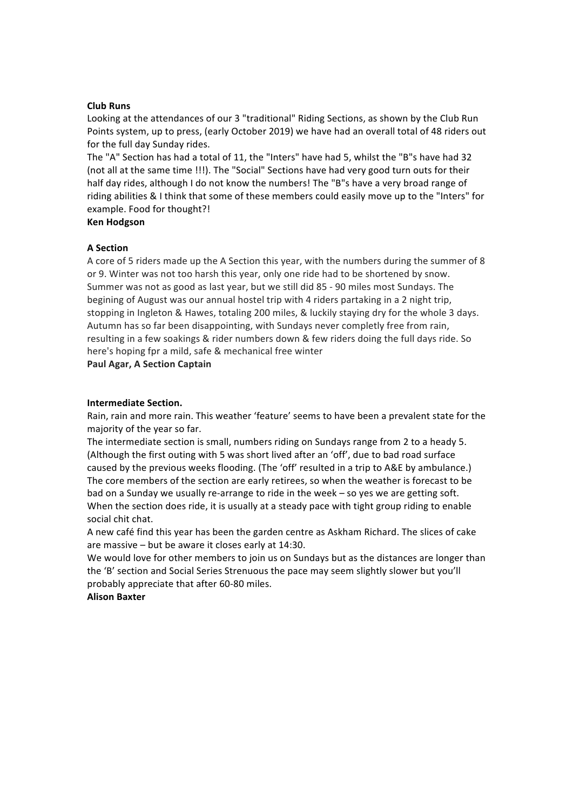### **Club Runs**

Looking at the attendances of our 3 "traditional" Riding Sections, as shown by the Club Run Points system, up to press, (early October 2019) we have had an overall total of 48 riders out for the full day Sunday rides.

The "A" Section has had a total of 11, the "Inters" have had 5, whilst the "B"s have had 32 (not all at the same time !!!). The "Social" Sections have had very good turn outs for their half day rides, although I do not know the numbers! The "B"s have a very broad range of riding abilities & I think that some of these members could easily move up to the "Inters" for example. Food for thought?!

### **Ken Hodgson**

### **A Section**

A core of 5 riders made up the A Section this year, with the numbers during the summer of 8 or 9. Winter was not too harsh this year, only one ride had to be shortened by snow. Summer was not as good as last year, but we still did 85 - 90 miles most Sundays. The begining of August was our annual hostel trip with 4 riders partaking in a 2 night trip, stopping in Ingleton & Hawes, totaling 200 miles, & luckily staying dry for the whole 3 days. Autumn has so far been disappointing, with Sundays never completly free from rain, resulting in a few soakings & rider numbers down & few riders doing the full days ride. So here's hoping fpr a mild, safe & mechanical free winter

**Paul Agar, A Section Captain** 

### **Intermediate Section.**

Rain, rain and more rain. This weather 'feature' seems to have been a prevalent state for the majority of the year so far.

The intermediate section is small, numbers riding on Sundays range from 2 to a heady 5. (Although the first outing with 5 was short lived after an 'off', due to bad road surface caused by the previous weeks flooding. (The 'off' resulted in a trip to A&E by ambulance.) The core members of the section are early retirees, so when the weather is forecast to be bad on a Sunday we usually re-arrange to ride in the week  $-$  so yes we are getting soft. When the section does ride, it is usually at a steady pace with tight group riding to enable social chit chat.

A new café find this year has been the garden centre as Askham Richard. The slices of cake are massive  $-$  but be aware it closes early at 14:30.

We would love for other members to join us on Sundays but as the distances are longer than the 'B' section and Social Series Strenuous the pace may seem slightly slower but you'll probably appreciate that after 60-80 miles.

#### **Alison Baxter**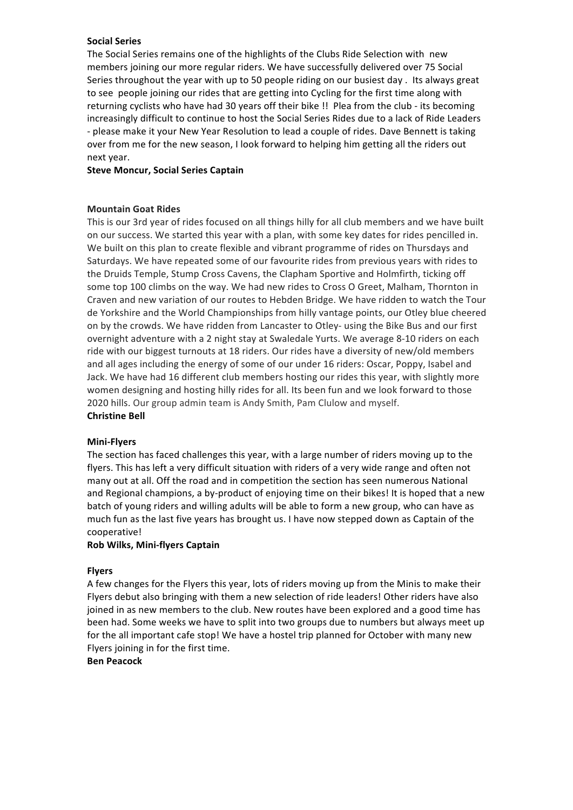### **Social Series**

The Social Series remains one of the highlights of the Clubs Ride Selection with new members joining our more regular riders. We have successfully delivered over 75 Social Series throughout the year with up to 50 people riding on our busiest day. Its always great to see people joining our rides that are getting into Cycling for the first time along with returning cyclists who have had 30 years off their bike !! Plea from the club - its becoming increasingly difficult to continue to host the Social Series Rides due to a lack of Ride Leaders - please make it your New Year Resolution to lead a couple of rides. Dave Bennett is taking over from me for the new season, I look forward to helping him getting all the riders out next year.

# **Steve Moncur, Social Series Captain**

### **Mountain Goat Rides**

This is our 3rd year of rides focused on all things hilly for all club members and we have built on our success. We started this year with a plan, with some key dates for rides pencilled in. We built on this plan to create flexible and vibrant programme of rides on Thursdays and Saturdays. We have repeated some of our favourite rides from previous years with rides to the Druids Temple, Stump Cross Cavens, the Clapham Sportive and Holmfirth, ticking off some top 100 climbs on the way. We had new rides to Cross O Greet, Malham, Thornton in Craven and new variation of our routes to Hebden Bridge. We have ridden to watch the Tour de Yorkshire and the World Championships from hilly vantage points, our Otley blue cheered on by the crowds. We have ridden from Lancaster to Otley- using the Bike Bus and our first overnight adventure with a 2 night stay at Swaledale Yurts. We average 8-10 riders on each ride with our biggest turnouts at 18 riders. Our rides have a diversity of new/old members and all ages including the energy of some of our under 16 riders: Oscar, Poppy, Isabel and Jack. We have had 16 different club members hosting our rides this year, with slightly more women designing and hosting hilly rides for all. Its been fun and we look forward to those 2020 hills. Our group admin team is Andy Smith, Pam Clulow and myself. **Christine Bell** 

### **Mini-Flyers**

The section has faced challenges this year, with a large number of riders moving up to the flyers. This has left a very difficult situation with riders of a very wide range and often not many out at all. Off the road and in competition the section has seen numerous National and Regional champions, a by-product of enjoying time on their bikes! It is hoped that a new batch of young riders and willing adults will be able to form a new group, who can have as much fun as the last five years has brought us. I have now stepped down as Captain of the cooperative!

# **Rob Wilks, Mini-flyers Captain**

### **Flyers**

A few changes for the Flyers this year, lots of riders moving up from the Minis to make their Flyers debut also bringing with them a new selection of ride leaders! Other riders have also joined in as new members to the club. New routes have been explored and a good time has been had. Some weeks we have to split into two groups due to numbers but always meet up for the all important cafe stop! We have a hostel trip planned for October with many new Flyers joining in for the first time.

### **Ben Peacock**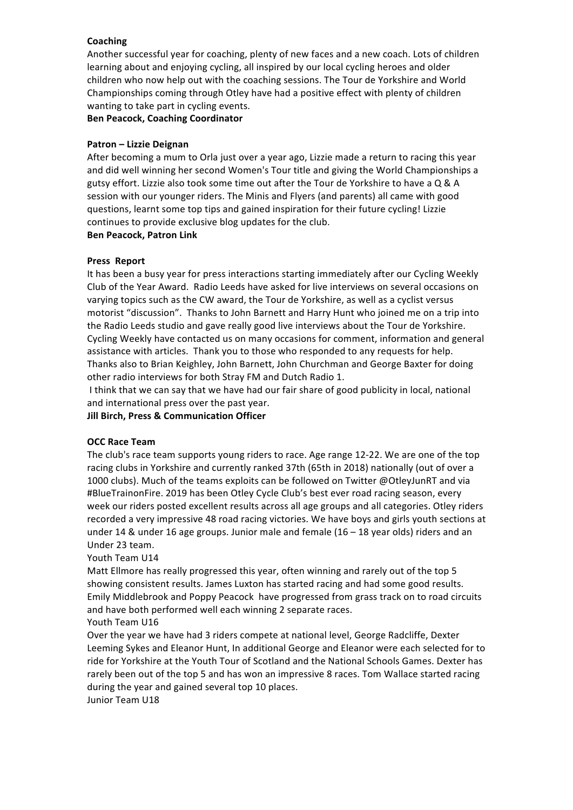# **Coaching**

Another successful year for coaching, plenty of new faces and a new coach. Lots of children learning about and enjoying cycling, all inspired by our local cycling heroes and older children who now help out with the coaching sessions. The Tour de Yorkshire and World Championships coming through Otley have had a positive effect with plenty of children wanting to take part in cycling events.

**Ben Peacock, Coaching Coordinator**

# **Patron – Lizzie Deignan**

After becoming a mum to Orla just over a year ago, Lizzie made a return to racing this year and did well winning her second Women's Tour title and giving the World Championships a gutsy effort. Lizzie also took some time out after the Tour de Yorkshire to have a Q & A session with our younger riders. The Minis and Flyers (and parents) all came with good questions, learnt some top tips and gained inspiration for their future cycling! Lizzie continues to provide exclusive blog updates for the club.

# **Ben Peacock, Patron Link**

# **Press Report**

It has been a busy year for press interactions starting immediately after our Cycling Weekly Club of the Year Award. Radio Leeds have asked for live interviews on several occasions on varying topics such as the CW award, the Tour de Yorkshire, as well as a cyclist versus motorist "discussion". Thanks to John Barnett and Harry Hunt who joined me on a trip into the Radio Leeds studio and gave really good live interviews about the Tour de Yorkshire. Cycling Weekly have contacted us on many occasions for comment, information and general assistance with articles. Thank you to those who responded to any requests for help. Thanks also to Brian Keighley, John Barnett, John Churchman and George Baxter for doing other radio interviews for both Stray FM and Dutch Radio 1.

I think that we can say that we have had our fair share of good publicity in local, national and international press over the past year.

**Jill Birch, Press & Communication Officer** 

# **OCC Race Team**

The club's race team supports young riders to race. Age range 12-22. We are one of the top racing clubs in Yorkshire and currently ranked 37th (65th in 2018) nationally (out of over a 1000 clubs). Much of the teams exploits can be followed on Twitter @OtleyJunRT and via #BlueTrainonFire. 2019 has been Otley Cycle Club's best ever road racing season, every week our riders posted excellent results across all age groups and all categories. Otley riders recorded a very impressive 48 road racing victories. We have boys and girls youth sections at under 14 & under 16 age groups. Junior male and female  $(16 - 18$  year olds) riders and an Under 23 team.

# Youth Team U14

Matt Ellmore has really progressed this year, often winning and rarely out of the top 5 showing consistent results. James Luxton has started racing and had some good results. Emily Middlebrook and Poppy Peacock have progressed from grass track on to road circuits and have both performed well each winning 2 separate races. Youth Team U16

Over the year we have had 3 riders compete at national level, George Radcliffe, Dexter Leeming Sykes and Eleanor Hunt, In additional George and Eleanor were each selected for to ride for Yorkshire at the Youth Tour of Scotland and the National Schools Games. Dexter has rarely been out of the top 5 and has won an impressive 8 races. Tom Wallace started racing during the year and gained several top 10 places.

Junior Team U18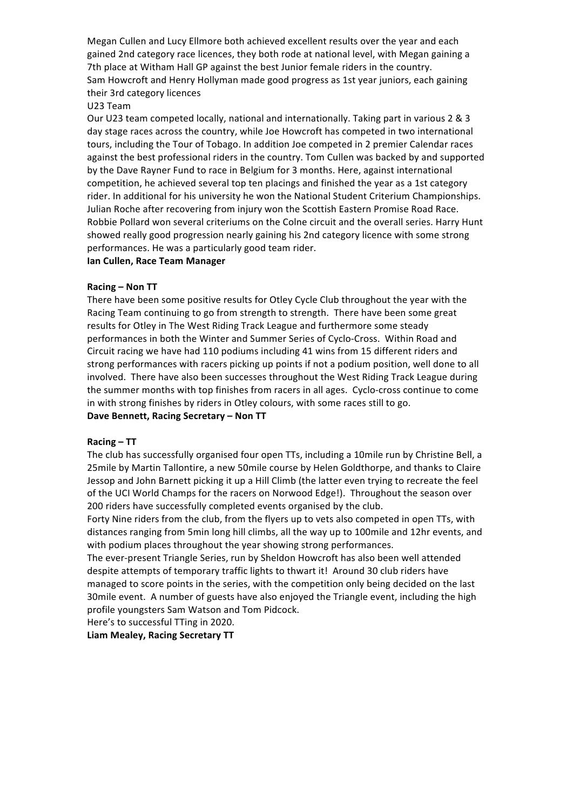Megan Cullen and Lucy Ellmore both achieved excellent results over the year and each gained 2nd category race licences, they both rode at national level, with Megan gaining a 7th place at Witham Hall GP against the best Junior female riders in the country. Sam Howcroft and Henry Hollyman made good progress as 1st year juniors, each gaining their 3rd category licences

U23 Team

Our U23 team competed locally, national and internationally. Taking part in various 2 & 3 day stage races across the country, while Joe Howcroft has competed in two international tours, including the Tour of Tobago. In addition Joe competed in 2 premier Calendar races against the best professional riders in the country. Tom Cullen was backed by and supported by the Dave Rayner Fund to race in Belgium for 3 months. Here, against international competition, he achieved several top ten placings and finished the year as a 1st category rider. In additional for his university he won the National Student Criterium Championships. Julian Roche after recovering from injury won the Scottish Eastern Promise Road Race. Robbie Pollard won several criteriums on the Colne circuit and the overall series. Harry Hunt showed really good progression nearly gaining his 2nd category licence with some strong performances. He was a particularly good team rider.

## **Ian Cullen, Race Team Manager**

### **Racing – Non TT**

There have been some positive results for Otley Cycle Club throughout the year with the Racing Team continuing to go from strength to strength. There have been some great results for Otley in The West Riding Track League and furthermore some steady performances in both the Winter and Summer Series of Cyclo-Cross. Within Road and Circuit racing we have had 110 podiums including 41 wins from 15 different riders and strong performances with racers picking up points if not a podium position, well done to all involved. There have also been successes throughout the West Riding Track League during the summer months with top finishes from racers in all ages. Cyclo-cross continue to come in with strong finishes by riders in Otley colours, with some races still to go. Dave Bennett, Racing Secretary - Non TT

### **Racing – TT**

The club has successfully organised four open TTs, including a 10mile run by Christine Bell, a 25mile by Martin Tallontire, a new 50mile course by Helen Goldthorpe, and thanks to Claire Jessop and John Barnett picking it up a Hill Climb (the latter even trying to recreate the feel of the UCI World Champs for the racers on Norwood Edge!). Throughout the season over 200 riders have successfully completed events organised by the club.

Forty Nine riders from the club, from the flyers up to vets also competed in open TTs, with distances ranging from 5min long hill climbs, all the way up to 100mile and 12hr events, and with podium places throughout the year showing strong performances.

The ever-present Triangle Series, run by Sheldon Howcroft has also been well attended despite attempts of temporary traffic lights to thwart it! Around 30 club riders have managed to score points in the series, with the competition only being decided on the last 30mile event. A number of guests have also enjoyed the Triangle event, including the high profile youngsters Sam Watson and Tom Pidcock.

Here's to successful TTing in 2020.

# **Liam Mealey, Racing Secretary TT**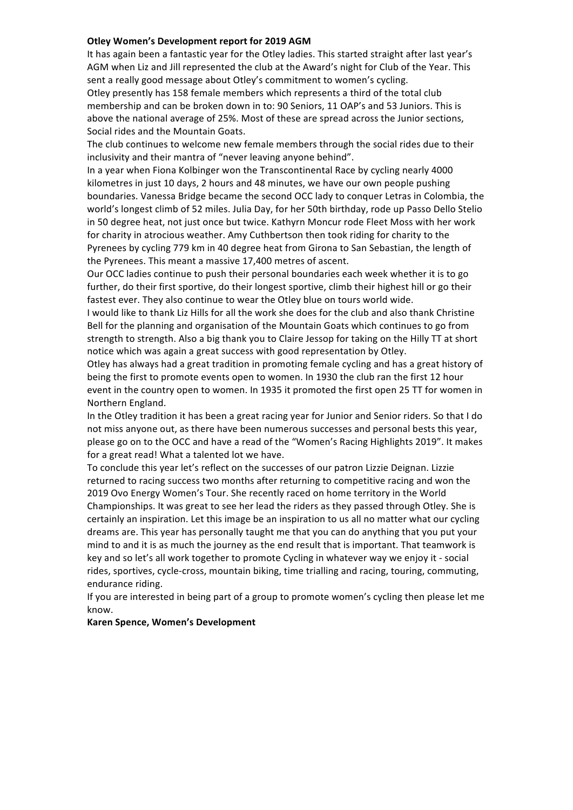### **Otley Women's Development report for 2019 AGM**

It has again been a fantastic year for the Otley ladies. This started straight after last year's AGM when Liz and Jill represented the club at the Award's night for Club of the Year. This sent a really good message about Otley's commitment to women's cycling.

Otley presently has 158 female members which represents a third of the total club membership and can be broken down in to: 90 Seniors, 11 OAP's and 53 Juniors. This is above the national average of 25%. Most of these are spread across the Junior sections, Social rides and the Mountain Goats.

The club continues to welcome new female members through the social rides due to their inclusivity and their mantra of "never leaving anyone behind".

In a year when Fiona Kolbinger won the Transcontinental Race by cycling nearly 4000 kilometres in just 10 days, 2 hours and 48 minutes, we have our own people pushing boundaries. Vanessa Bridge became the second OCC lady to conquer Letras in Colombia, the world's longest climb of 52 miles. Julia Day, for her 50th birthday, rode up Passo Dello Stelio in 50 degree heat, not just once but twice. Kathyrn Moncur rode Fleet Moss with her work for charity in atrocious weather. Amy Cuthbertson then took riding for charity to the Pyrenees by cycling 779 km in 40 degree heat from Girona to San Sebastian, the length of the Pyrenees. This meant a massive 17,400 metres of ascent.

Our OCC ladies continue to push their personal boundaries each week whether it is to go further, do their first sportive, do their longest sportive, climb their highest hill or go their fastest ever. They also continue to wear the Otley blue on tours world wide.

I would like to thank Liz Hills for all the work she does for the club and also thank Christine Bell for the planning and organisation of the Mountain Goats which continues to go from strength to strength. Also a big thank you to Claire Jessop for taking on the Hilly TT at short notice which was again a great success with good representation by Otley.

Otley has always had a great tradition in promoting female cycling and has a great history of being the first to promote events open to women. In 1930 the club ran the first 12 hour event in the country open to women. In 1935 it promoted the first open 25 TT for women in Northern England.

In the Otley tradition it has been a great racing year for Junior and Senior riders. So that I do not miss anyone out, as there have been numerous successes and personal bests this year, please go on to the OCC and have a read of the "Women's Racing Highlights 2019". It makes for a great read! What a talented lot we have.

To conclude this year let's reflect on the successes of our patron Lizzie Deignan. Lizzie returned to racing success two months after returning to competitive racing and won the 2019 Ovo Energy Women's Tour. She recently raced on home territory in the World Championships. It was great to see her lead the riders as they passed through Otley. She is certainly an inspiration. Let this image be an inspiration to us all no matter what our cycling dreams are. This year has personally taught me that you can do anything that you put your mind to and it is as much the journey as the end result that is important. That teamwork is key and so let's all work together to promote Cycling in whatever way we enjoy it - social rides, sportives, cycle-cross, mountain biking, time trialling and racing, touring, commuting, endurance riding.

If you are interested in being part of a group to promote women's cycling then please let me know. 

### **Karen Spence, Women's Development**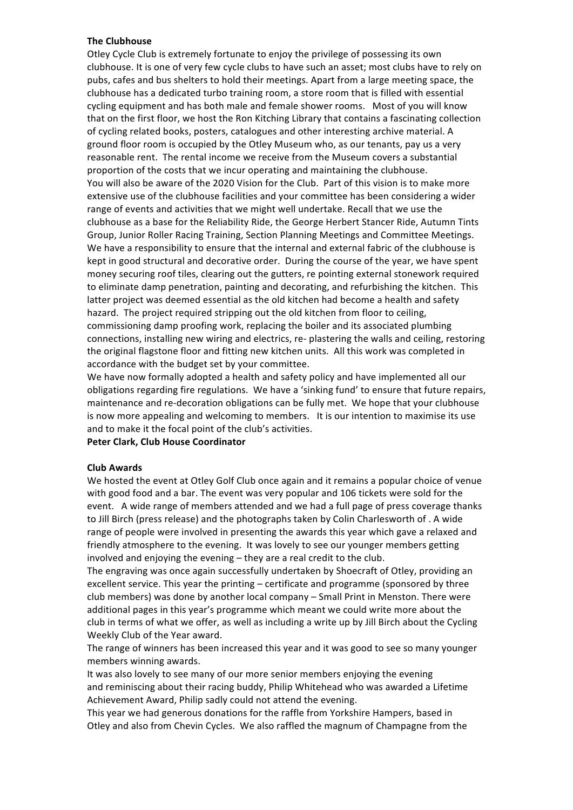### **The Clubhouse**

Otley Cycle Club is extremely fortunate to enjoy the privilege of possessing its own clubhouse. It is one of very few cycle clubs to have such an asset; most clubs have to rely on pubs, cafes and bus shelters to hold their meetings. Apart from a large meeting space, the clubhouse has a dedicated turbo training room, a store room that is filled with essential cycling equipment and has both male and female shower rooms. Most of you will know that on the first floor, we host the Ron Kitching Library that contains a fascinating collection of cycling related books, posters, catalogues and other interesting archive material. A ground floor room is occupied by the Otley Museum who, as our tenants, pay us a very reasonable rent. The rental income we receive from the Museum covers a substantial proportion of the costs that we incur operating and maintaining the clubhouse. You will also be aware of the 2020 Vision for the Club. Part of this vision is to make more extensive use of the clubhouse facilities and your committee has been considering a wider range of events and activities that we might well undertake. Recall that we use the clubhouse as a base for the Reliability Ride, the George Herbert Stancer Ride, Autumn Tints Group, Junior Roller Racing Training, Section Planning Meetings and Committee Meetings. We have a responsibility to ensure that the internal and external fabric of the clubhouse is kept in good structural and decorative order. During the course of the year, we have spent money securing roof tiles, clearing out the gutters, re pointing external stonework required to eliminate damp penetration, painting and decorating, and refurbishing the kitchen. This latter project was deemed essential as the old kitchen had become a health and safety hazard. The project required stripping out the old kitchen from floor to ceiling, commissioning damp proofing work, replacing the boiler and its associated plumbing connections, installing new wiring and electrics, re- plastering the walls and ceiling, restoring the original flagstone floor and fitting new kitchen units. All this work was completed in accordance with the budget set by your committee.

We have now formally adopted a health and safety policy and have implemented all our obligations regarding fire regulations. We have a 'sinking fund' to ensure that future repairs, maintenance and re-decoration obligations can be fully met. We hope that your clubhouse is now more appealing and welcoming to members. It is our intention to maximise its use and to make it the focal point of the club's activities.

# **Peter Clark, Club House Coordinator**

### **Club Awards**

We hosted the event at Otley Golf Club once again and it remains a popular choice of venue with good food and a bar. The event was very popular and 106 tickets were sold for the event. A wide range of members attended and we had a full page of press coverage thanks to Jill Birch (press release) and the photographs taken by Colin Charlesworth of . A wide range of people were involved in presenting the awards this year which gave a relaxed and friendly atmosphere to the evening. It was lovely to see our younger members getting involved and enjoying the evening  $-$  they are a real credit to the club.

The engraving was once again successfully undertaken by Shoecraft of Otley, providing an excellent service. This year the printing – certificate and programme (sponsored by three club members) was done by another local company – Small Print in Menston. There were additional pages in this year's programme which meant we could write more about the club in terms of what we offer, as well as including a write up by Jill Birch about the Cycling Weekly Club of the Year award.

The range of winners has been increased this year and it was good to see so many younger members winning awards.

It was also lovely to see many of our more senior members enjoying the evening and reminiscing about their racing buddy, Philip Whitehead who was awarded a Lifetime Achievement Award, Philip sadly could not attend the evening.

This year we had generous donations for the raffle from Yorkshire Hampers, based in Otley and also from Chevin Cycles. We also raffled the magnum of Champagne from the